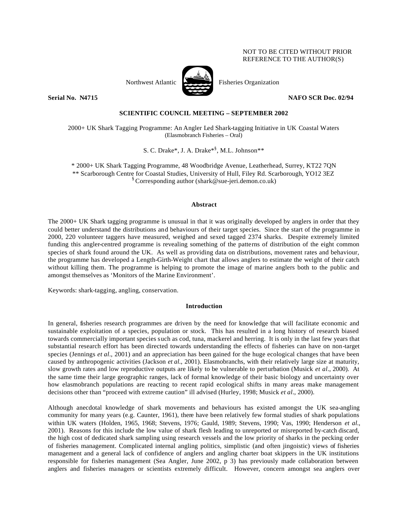# NOT TO BE CITED WITHOUT PRIOR REFERENCE TO THE AUTHOR(S)



Northwest Atlantic Fisheries Organization

**Serial No. 24715** NAFO SCR Doc. 02/94

# **SCIENTIFIC COUNCIL MEETING – SEPTEMBER 2002**

2000+ UK Shark Tagging Programme: An Angler Led Shark-tagging Initiative in UK Coastal Waters (Elasmobranch Fisheries – Oral)

S. C. Drake\*, J. A. Drake\*§ , M.L. Johnson\*\*

\* 2000+ UK Shark Tagging Programme, 48 Woodbridge Avenue, Leatherhead, Surrey, KT22 7QN \*\* Scarborough Centre for Coastal Studies, University of Hull, Filey Rd. Scarborough, YO12 3EZ § Corresponding author (shark@sue-jeri.demon.co.uk)

# **Abstract**

The 2000+ UK Shark tagging programme is unusual in that it was originally developed by anglers in order that they could better understand the distributions and behaviours of their target species. Since the start of the programme in 2000, 220 volunteer taggers have measured, weighed and sexed tagged 2374 sharks. Despite extremely limited funding this angler-centred programme is revealing something of the patterns of distribution of the eight common species of shark found around the UK. As well as providing data on distributions, movement rates and behaviour, the programme has developed a Length-Girth-Weight chart that allows anglers to estimate the weight of their catch without killing them. The programme is helping to promote the image of marine anglers both to the public and amongst themselves as 'Monitors of the Marine Environment'.

Keywords: shark-tagging, angling, conservation.

#### **Introduction**

In general, fisheries research programmes are driven by the need for knowledge that will facilitate economic and sustainable exploitation of a species, population or stock. This has resulted in a long history of research biased towards commercially important species such as cod, tuna, mackerel and herring. It is only in the last few years that substantial research effort has been directed towards understanding the effects of fisheries can have on non-target species (Jennings *et al.*, 2001) and an appreciation has been gained for the huge ecological changes that have been caused by anthropogenic activities (Jackson *et al.*, 2001). Elasmobranchs, with their relatively large size at maturity, slow growth rates and low reproductive outputs are likely to be vulnerable to perturbation (Musick *et al.*, 2000). At the same time their large geographic ranges, lack of formal knowledge of their basic biology and uncertainty over how elasmobranch populations are reacting to recent rapid ecological shifts in many areas make management decisions other than "proceed with extreme caution" ill advised (Hurley, 1998; Musick *et al.*, 2000).

Although anecdotal knowledge of shark movements and behaviours has existed amongst the UK sea-angling community for many years (e.g. Caunter, 1961), there have been relatively few formal studies of shark populations within UK waters (Holden, 1965, 1968; Stevens, 1976; Gauld, 1989; Stevens, 1990; Vas, 1990; Henderson *et al.*, 2001). Reasons for this include the low value of shark flesh leading to unreported or misreported by-catch discard, the high cost of dedicated shark sampling using research vessels and the low priority of sharks in the pecking order of fisheries management. Complicated internal angling politics, simplistic (and often jingoistic) views of fisheries management and a general lack of confidence of anglers and angling charter boat skippers in the UK institutions responsible for fisheries management (Sea Angler, June 2002, p 3) has previously made collaboration between anglers and fisheries managers or scientists extremely difficult. However, concern amongst sea anglers over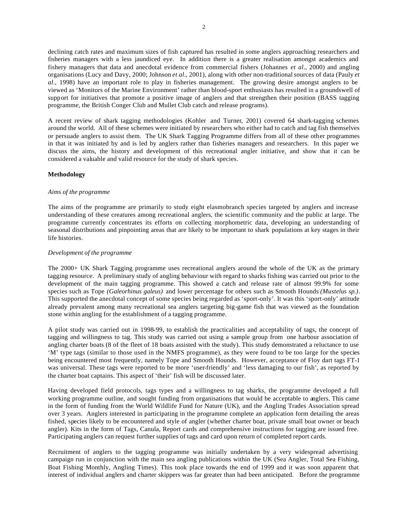declining catch rates and maximum sizes of fish captured has resulted in some anglers approaching researchers and fisheries managers with a less jaundiced eye. In addition there is a greater realisation amongst academics and fishery managers that data and anecdotal evidence from commercial fishers (Johannes *et al.*, 2000) and angling organisations (Lucy and Davy, 2000; Johnson *et al.*, 2001), along with other non-traditional sources of data (Pauly *et al.*, 1998) have an important role to play in fisheries management. The growing desire amongst anglers to be viewed as 'Monitors of the Marine Environment' rather than blood-sport enthusiasts has resulted in a groundswell of support for initiatives that promote a positive image of anglers and that strengthen their position (BASS tagging programme, the British Conger Club and Mullet Club catch and release programs).

A recent review of shark tagging methodologies (Kohler and Turner, 2001) covered 64 shark-tagging schemes around the world. All of these schemes were initiated by researchers who either had to catch and tag fish themselves or persuade anglers to assist them. The UK Shark Tagging Programme differs from all of these other programmes in that it was initiated by and is led by anglers rather than fisheries managers and researchers. In this paper we discuss the aims, the history and development of this recreational angler initiative, and show that it can be considered a valuable and valid resource for the study of shark species.

# **Methodology**

### *Aims of the programme*

The aims of the programme are primarily to study eight elasmobranch species targeted by anglers and increase understanding of these creatures among recreational anglers, the scientific community and the public at large. The programme currently concentrates its efforts on collecting morphometric data, developing an understanding of seasonal distributions and pinpointing areas that are likely to be important to shark populations at key stages in their life histories.

# *Development of the programme*

The 2000+ UK Shark Tagging programme uses recreational anglers around the whole of the UK as the primary tagging resource. A preliminary study of angling behaviour with regard to sharks fishing was carried out prior to the development of the main tagging programme. This showed a catch and release rate of almost 99.9% for some species such as Tope *(Galeorhinus galeus)* and lower percentage for others such as Smooth Hounds *(Mustelus sp.)*. This supported the anecdotal concept of some species being regarded as 'sport-only'. It was this 'sport-only' attitude already prevalent among many recreational sea anglers targeting big-game fish that was viewed as the foundation stone within angling for the establishment of a tagging programme.

A pilot study was carried out in 1998-99, to establish the practicalities and acceptability of tags, the concept of tagging and willingness to tag. This study was carried out using a sample group from one harbour association of angling charter boats (8 of the fleet of 18 boats assisted with the study). This study demonstrated a reluctance to use 'M' type tags (similar to those used in the NMFS programme), as they were found to be too large for the species being encountered most frequently, namely Tope and Smooth Hounds. However, acceptance of Floy dart tags FT-1 was universal. These tags were reported to be more 'user-friendly' and 'less damaging to our fish', as reported by the charter boat captains. This aspect of 'their' fish will be discussed later.

Having developed field protocols, tags types and a willingness to tag sharks, the programme developed a full working programme outline, and sought funding from organisations that would be acceptable to anglers. This came in the form of funding from the World Wildlife Fund for Nature (UK), and the Angling Trades Association spread over 3 years. Anglers interested in participating in the programme complete an application form detailing the areas fished, species likely to be encountered and style of angler (whether charter boat, private small boat owner or beach angler). Kits in the form of Tags, Canula, Report cards and comprehensive instructions for tagging are issued free. Participating anglers can request further supplies of tags and card upon return of completed report cards.

Recruitment of anglers to the tagging programme was initially undertaken by a very widespread advertising campaign run in conjunction with the main sea angling publications within the UK (Sea Angler, Total Sea Fishing, Boat Fishing Monthly, Angling Times). This took place towards the end of 1999 and it was soon apparent that interest of individual anglers and charter skippers was far greater than had been anticipated. Before the programme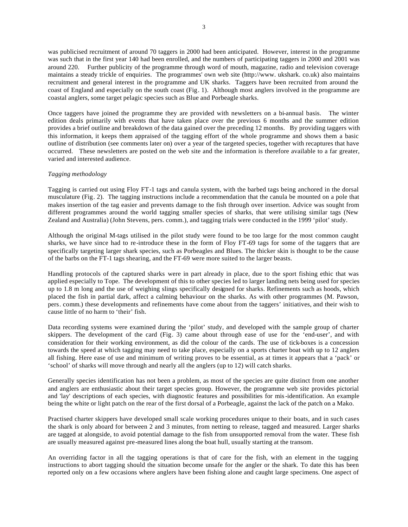was publicised recruitment of around 70 taggers in 2000 had been anticipated. However, interest in the programme was such that in the first year 140 had been enrolled, and the numbers of participating taggers in 2000 and 2001 was around 220. Further publicity of the programme through word of mouth, magazine, radio and television coverage maintains a steady trickle of enquiries. The programmes' own web site (http://www. ukshark. co.uk) also maintains recruitment and general interest in the programme and UK sharks. Taggers have been recruited from around the coast of England and especially on the south coast (Fig. 1). Although most anglers involved in the programme are coastal anglers, some target pelagic species such as Blue and Porbeagle sharks.

Once taggers have joined the programme they are provided with newsletters on a bi-annual basis. The winter edition deals primarily with events that have taken place over the previous 6 months and the summer edition provides a brief outline and breakdown of the data gained over the preceding 12 months. By providing taggers with this information, it keeps them appraised of the tagging effort of the whole programme and shows them a basic outline of distribution (see comments later on) over a year of the targeted species, together with recaptures that have occurred. These newsletters are posted on the web site and the information is therefore available to a far greater, varied and interested audience.

### *Tagging methodology*

Tagging is carried out using Floy FT-1 tags and canula system, with the barbed tags being anchored in the dorsal musculature (Fig. 2). The tagging instructions include a recommendation that the canula be mounted on a pole that makes insertion of the tag easier and prevents damage to the fish through over insertion. Advice was sought from different programmes around the world tagging smaller species of sharks, that were utilising similar tags (New Zealand and Australia) (John Stevens, pers. comm.), and tagging trials were conducted in the 1999 'pilot' study.

Although the original M-tags utilised in the pilot study were found to be too large for the most common caught sharks, we have since had to re-introduce these in the form of Floy FT-69 tags for some of the taggers that are specifically targeting larger shark species, such as Porbeagles and Blues. The thicker skin is thought to be the cause of the barbs on the FT-1 tags shearing, and the FT-69 were more suited to the larger beasts.

Handling protocols of the captured sharks were in part already in place, due to the sport fishing ethic that was applied especially to Tope. The development of this to other species led to larger landing nets being used for species up to 1.8 m long and the use of weighing slings specifically designed for sharks. Refinements such as hoods, which placed the fish in partial dark, affect a calming behaviour on the sharks. As with other programmes (M. Pawson, pers. comm*.*) these developments and refinements have come about from the taggers' initiatives, and their wish to cause little of no harm to 'their' fish.

Data recording systems were examined during the 'pilot' study, and developed with the sample group of charter skippers. The development of the card (Fig. 3) came about through ease of use for the 'end-user', and with consideration for their working environment, as did the colour of the cards. The use of tick-boxes is a concession towards the speed at which tagging may need to take place, especially on a sports charter boat with up to 12 anglers all fishing. Here ease of use and minimum of writing proves to be essential, as at times it appears that a 'pack' or 'school' of sharks will move through and nearly all the anglers (up to 12) will catch sharks.

Generally species identification has not been a problem, as most of the species are quite distinct from one another and anglers are enthusiastic about their target species group. However, the programme web site provides pictorial and 'lay' descriptions of each species, with diagnostic features and possibilities for mis-identification. An example being the white or light patch on the rear of the first dorsal of a Porbeagle, against the lack of the patch on a Mako.

Practised charter skippers have developed small scale working procedures unique to their boats, and in such cases the shark is only aboard for between 2 and 3 minutes, from netting to release, tagged and measured. Larger sharks are tagged at alongside, to avoid potential damage to the fish from unsupported removal from the water. These fish are usually measured against pre-measured lines along the boat hull, usually starting at the transom.

An overriding factor in all the tagging operations is that of care for the fish, with an element in the tagging instructions to abort tagging should the situation become unsafe for the angler or the shark. To date this has been reported only on a few occasions where anglers have been fishing alone and caught large specimens. One aspect of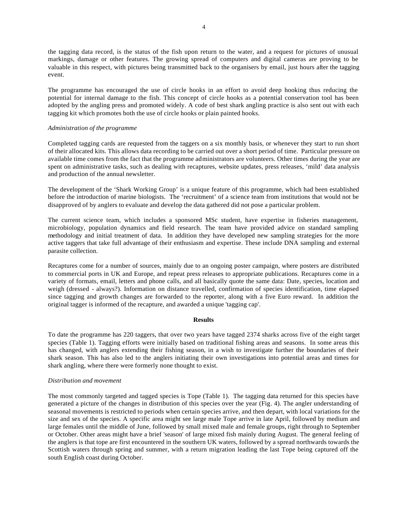the tagging data record, is the status of the fish upon return to the water, and a request for pictures of unusual markings, damage or other features. The growing spread of computers and digital cameras are proving to be valuable in this respect, with pictures being transmitted back to the organisers by email, just hours after the tagging event.

The programme has encouraged the use of circle hooks in an effort to avoid deep hooking thus reducing the potential for internal damage to the fish. This concept of circle hooks as a potential conservation tool has been adopted by the angling press and promoted widely. A code of best shark angling practice is also sent out with each tagging kit which promotes both the use of circle hooks or plain painted hooks.

### *Administration of the programme*

Completed tagging cards are requested from the taggers on a six monthly basis, or whenever they start to run short of their allocated kits. This allows data recording to be carried out over a short period of time. Particular pressure on available time comes from the fact that the programme administrators are volunteers. Other times during the year are spent on administrative tasks, such as dealing with recaptures, website updates, press releases, 'mild' data analysis and production of the annual newsletter.

The development of the 'Shark Working Group' is a unique feature of this programme, which had been established before the introduction of marine biologists. The 'recruitment' of a science team from institutions that would not be disapproved of by anglers to evaluate and develop the data gathered did not pose a particular problem.

The current science team, which includes a sponsored MSc student, have expertise in fisheries management, microbiology, population dynamics and field research. The team have provided advice on standard sampling methodology and initial treatment of data. In addition they have developed new sampling strategies for the more active taggers that take full advantage of their enthusiasm and expertise. These include DNA sampling and external parasite collection.

Recaptures come for a number of sources, mainly due to an ongoing poster campaign, where posters are distributed to commercial ports in UK and Europe, and repeat press releases to appropriate publications. Recaptures come in a variety of formats, email, letters and phone calls, and all basically quote the same data: Date, species, location and weigh (dressed - always?). Information on distance travelled, confirmation of species identification, time elapsed since tagging and growth changes are forwarded to the reporter, along with a five Euro reward. In addition the original tagger is informed of the recapture, and awarded a unique 'tagging cap'.

#### **Results**

To date the programme has 220 taggers, that over two years have tagged 2374 sharks across five of the eight target species (Table 1). Tagging efforts were initially based on traditional fishing areas and seasons. In some areas this has changed, with anglers extending their fishing season, in a wish to investigate further the boundaries of their shark season. This has also led to the anglers initiating their own investigations into potential areas and times for shark angling, where there were formerly none thought to exist.

# *Distribution and movement*

The most commonly targeted and tagged species is Tope (Table 1). The tagging data returned for this species have generated a picture of the changes in distribution of this species over the year (Fig. 4). The angler understanding of seasonal movements is restricted to periods when certain species arrive, and then depart, with local variations for the size and sex of the species. A specific area might see large male Tope arrive in late April, followed by medium and large females until the middle of June, followed by small mixed male and female groups, right through to September or October. Other areas might have a brief 'season' of large mixed fish mainly during August. The general feeling of the anglers is that tope are first encountered in the southern UK waters, followed by a spread northwards towards the Scottish waters through spring and summer, with a return migration leading the last Tope being captured off the south English coast during October.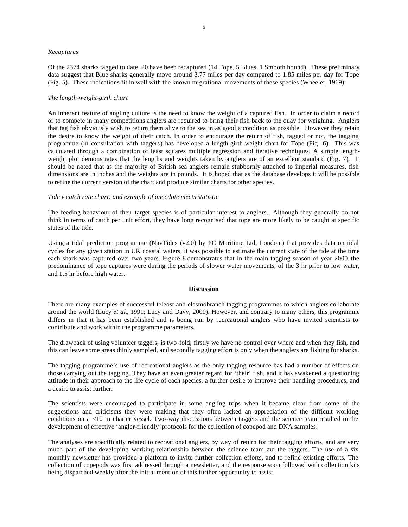#### *Recaptures*

Of the 2374 sharks tagged to date, 20 have been recaptured (14 Tope, 5 Blues, 1 Smooth hound). These preliminary data suggest that Blue sharks generally move around 8.77 miles per day compared to 1.85 miles per day for Tope (Fig. 5). These indications fit in well with the known migrational movements of these species (Wheeler, 1969)

### *The length-weight-girth chart*

An inherent feature of angling culture is the need to know the weight of a captured fish. In order to claim a record or to compete in many competitions anglers are required to bring their fish back to the quay for weighing. Anglers that tag fish obviously wish to return them alive to the sea in as good a condition as possible. However they retain the desire to know the weight of their catch. In order to encourage the return of fish, tagged or not, the tagging programme (in consultation with taggers) has developed a length-girth-weight chart for Tope (Fig. 6**)**. This was calculated through a combination of least squares multiple regression and iterative techniques. A simple lengthweight plot demonstrates that the lengths and weights taken by anglers are of an excellent standard (Fig. 7). It should be noted that as the majority of British sea anglers remain stubbornly attached to imperial measures, fish dimensions are in inches and the weights are in pounds. It is hoped that as the database develops it will be possible to refine the current version of the chart and produce similar charts for other species.

## *Tide v catch rate chart: and example of anecdote meets statistic*

The feeding behaviour of their target species is of particular interest to anglers. Although they generally do not think in terms of catch per unit effort, they have long recognised that tope are more likely to be caught at specific states of the tide.

Using a tidal prediction programme (NavTides (v2.0) by PC Maritime Ltd, London.) that provides data on tidal cycles for any given station in UK coastal waters, it was possible to estimate the current state of the tide at the time each shark was captured over two years. Figure 8 demonstrates that in the main tagging season of year 2000, the predominance of tope captures were during the periods of slower water movements, of the 3 hr prior to low water, and 1.5 hr before high water.

## **Discussion**

There are many examples of successful teleost and elasmobranch tagging programmes to which anglers collaborate around the world (Lucy *et al.,* 1991; Lucy and Davy, 2000). However, and contrary to many others, this programme differs in that it has been established and is being run by recreational anglers who have invited scientists to contribute and work within the programme parameters.

The drawback of using volunteer taggers, is two-fold; firstly we have no control over where and when they fish, and this can leave some areas thinly sampled, and secondly tagging effort is only when the anglers are fishing for sharks.

The tagging programme's use of recreational anglers as the only tagging resource has had a number of effects on those carrying out the tagging. They have an even greater regard for 'their' fish, and it has awakened a questioning attitude in their approach to the life cycle of each species, a further desire to improve their handling procedures, and a desire to assist further.

The scientists were encouraged to participate in some angling trips when it became clear from some of the suggestions and criticisms they were making that they often lacked an appreciation of the difficult working conditions on a <10 m charter vessel. Two-way discussions between taggers and the science team resulted in the development of effective 'angler-friendly' protocols for the collection of copepod and DNA samples.

The analyses are specifically related to recreational anglers, by way of return for their tagging efforts, and are very much part of the developing working relationship between the science team and the taggers. The use of a six monthly newsletter has provided a platform to invite further collection efforts, and to refine existing efforts. The collection of copepods was first addressed through a newsletter, and the response soon followed with collection kits being dispatched weekly after the initial mention of this further opportunity to assist.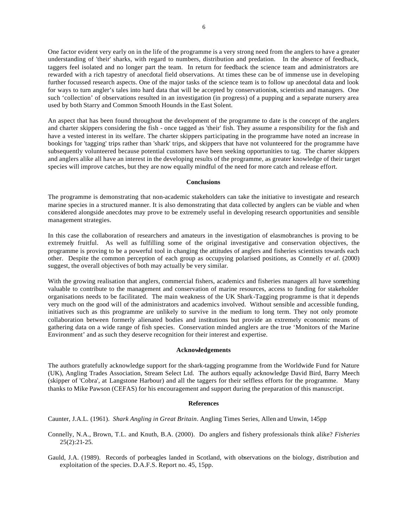One factor evident very early on in the life of the programme is a very strong need from the anglers to have a greater understanding of 'their' sharks, with regard to numbers, distribution and predation. In the absence of feedback, taggers feel isolated and no longer part the team. In return for feedback the science team and administrators are rewarded with a rich tapestry of anecdotal field observations. At times these can be of immense use in developing further focussed research aspects. One of the major tasks of the science team is to follow up anecdotal data and look for ways to turn angler's tales into hard data that will be accepted by conservationists, scientists and managers. One such 'collection' of observations resulted in an investigation (in progress) of a pupping and a separate nursery area used by both Starry and Common Smooth Hounds in the East Solent.

An aspect that has been found throughout the development of the programme to date is the concept of the anglers and charter skippers considering the fish - once tagged as 'their' fish. They assume a responsibility for the fish and have a vested interest in its welfare. The charter skippers participating in the programme have noted an increase in bookings for 'tagging' trips rather than 'shark' trips, and skippers that have not volunteered for the programme have subsequently volunteered because potential customers have been seeking opportunities to tag. The charter skippers and anglers alike all have an interest in the developing results of the programme, as greater knowledge of their target species will improve catches, but they are now equally mindful of the need for more catch and release effort.

#### **Conclusions**

The programme is demonstrating that non-academic stakeholders can take the initiative to investigate and research marine species in a structured manner. It is also demonstrating that data collected by anglers can be viable and when considered alongside anecdotes may prove to be extremely useful in developing research opportunities and sensible management strategies.

In this case the collaboration of researchers and amateurs in the investigation of elasmobranches is proving to be extremely fruitful. As well as fulfilling some of the original investigative and conservation objectives, the programme is proving to be a powerful tool in changing the attitudes of anglers and fisheries scientists towards each other. Despite the common perception of each group as occupying polarised positions, as Connelly *et al.* (2000) suggest, the overall objectives of both may actually be very similar.

With the growing realisation that anglers, commercial fishers, academics and fisheries managers all have something valuable to contribute to the management and conservation of marine resources, access to funding for stakeholder organisations needs to be facilitated. The main weakness of the UK Shark-Tagging programme is that it depends very much on the good will of the administrators and academics involved. Without sensible and accessible funding, initiatives such as this programme are unlikely to survive in the medium to long term. They not only promote collaboration between formerly alienated bodies and institutions but provide an extremely economic means of gathering data on a wide range of fish species. Conservation minded anglers are the true 'Monitors of the Marine Environment' and as such they deserve recognition for their interest and expertise.

#### **Acknowledgements**

The authors gratefully acknowledge support for the shark-tagging programme from the Worldwide Fund for Nature (UK), Angling Trades Association, Stream Select Ltd. The authors equally acknowledge David Bird, Barry Meech (skipper of 'Cobra', at Langstone Harbour) and all the taggers for their selfless efforts for the programme. Many thanks to Mike Pawson (CEFAS) for his encouragement and support during the preparation of this manuscript.

#### **References**

Caunter, J.A.L. (1961). *Shark Angling in Great Britain*. Angling Times Series, Allen and Unwin, 145pp

- Connelly, N.A., Brown, T.L. and Knuth, B.A. (2000). Do anglers and fishery professionals think alike? *Fisheries*  $25(2):21-25.$
- Gauld, J.A. (1989). Records of porbeagles landed in Scotland, with observations on the biology, distribution and exploitation of the species. D.A.F.S. Report no. 45, 15pp.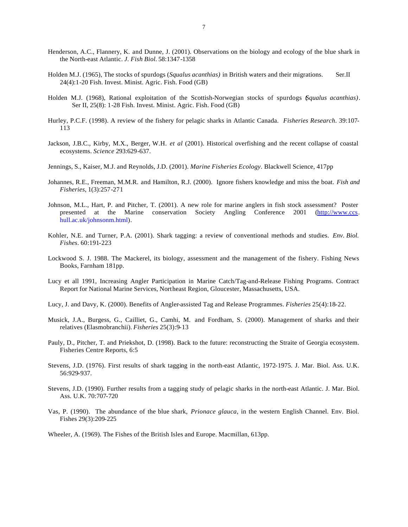- Henderson, A.C., Flannery, K. and Dunne, J. (2001). Observations on the biology and ecology of the blue shark in the North-east Atlantic. *J. Fish Biol.* 58:1347-1358
- Holden M.J. (1965), The stocks of spurdogs (*Squalus acanthias)* in British waters and their migrations. Ser.II 24(4):1-20 Fish. Invest. Minist. Agric. Fish. Food (GB)
- Holden M.J. (1968), Rational exploitation of the Scottish-Norwegian stocks of spurdogs (*Squalus acanthias)*. Ser II, 25(8): 1-28 Fish. Invest. Minist. Agric. Fish. Food (GB)
- Hurley, P.C.F. (1998). A review of the fishery for pelagic sharks in Atlantic Canada. *Fisheries Research*. 39:107- 113
- Jackson, J.B.C., Kirby, M.X., Berger, W.H. *et al* (2001). Historical overfishing and the recent collapse of coastal ecosystems. *Science* 293:629-637.
- Jennings, S., Kaiser, M.J. and Reynolds, J.D. (2001). *Marine Fisheries Ecology*. Blackwell Science, 417pp
- Johannes, R.E., Freeman, M.M.R. and Hamilton, R.J. (2000). Ignore fishers knowledge and miss the boat. *Fish and Fisheries*, 1(3):257-271
- Johnson, M.L., Hart, P. and Pitcher, T. (2001). A new role for marine anglers in fish stock assessment? Poster presented at the Marine conservation Society Angling Conference 2001 (http://www.ccs. hull.ac.uk/johnsonm.html).
- Kohler, N.E. and Turner, P.A. (2001). Shark tagging: a review of conventional methods and studies. *Env. Biol. Fishes*. 60:191-223
- Lockwood S. J. 1988. The Mackerel, its biology, assessment and the management of the fishery. Fishing News Books, Farnham 181pp.
- Lucy et all 1991, Increasing Angler Participation in Marine Catch/Tag-and-Release Fishing Programs. Contract Report for National Marine Services, Northeast Region, Gloucester, Massachusetts, USA.
- Lucy, J. and Davy, K. (2000). Benefits of Angler-assisted Tag and Release Programmes. *Fisheries* 25(4):18-22.
- Musick, J.A., Burgess, G., Cailliet, G., Camhi, M. and Fordham, S. (2000). Management of sharks and their relatives (Elasmobranchii). *Fisheries* 25(3):9-13
- Pauly, D., Pitcher, T. and Priekshot, D. (1998). Back to the future: reconstructing the Straite of Georgia ecosystem. Fisheries Centre Reports, 6:5
- Stevens, J.D. (1976). First results of shark tagging in the north-east Atlantic, 1972-1975. J. Mar. Biol. Ass. U.K. 56:929-937.
- Stevens, J.D. (1990). Further results from a tagging study of pelagic sharks in the north-east Atlantic. J. Mar. Biol. Ass. U.K. 70:707-720
- Vas, P. (1990). The abundance of the blue shark, *Prionace glauca*, in the western English Channel. Env. Biol. Fishes 29(3):209-225
- Wheeler, A. (1969). The Fishes of the British Isles and Europe. Macmillan, 613pp.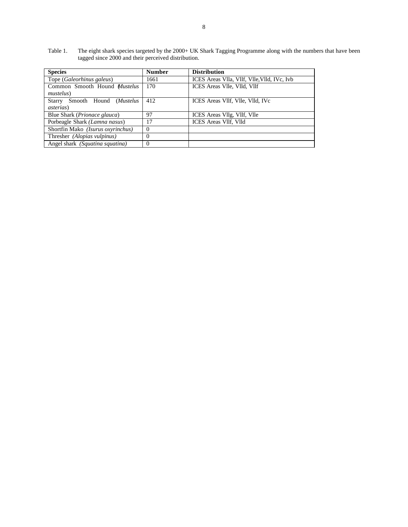Table 1. The eight shark species targeted by the 2000+ UK Shark Tagging Programme along with the numbers that have been tagged since 2000 and their perceived distribution.

| <b>Species</b>                                                | <b>Number</b> | <b>Distribution</b>                         |
|---------------------------------------------------------------|---------------|---------------------------------------------|
| Tope (Galeorhinus galeus)                                     | 1661          | ICES Areas VIIa, VIIf, VIIe, VIId, IVc, Ivb |
| Common Smooth Hound Mustelus<br><i>mustelus</i> )             | 170           | ICES Areas VIIe, VIId, VIIf                 |
| Starry<br>Smooth Hound ( <i>Mustelus</i><br><i>asterias</i> ) | 412           | ICES Areas VIIf, VIIe, VIId, IVc            |
| Blue Shark ( <i>Prionace glauca</i> )                         | 97            | ICES Areas VIIg, VIIf, VIIe                 |
| Porbeagle Shark (Lamna nasus)                                 | 17            | ICES Areas VIIf, VIId                       |
| Shortfin Mako (Isurus oxyrinchus)                             | $\Omega$      |                                             |
| Thresher (Alopias vulpinus)                                   | $\Omega$      |                                             |
| Angel shark (Squatina squatina)                               |               |                                             |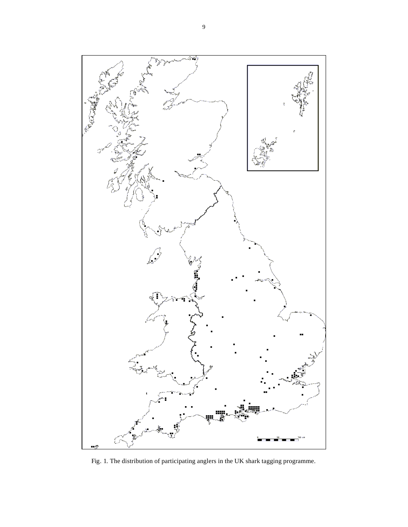

Fig. 1. The distribution of participating anglers in the UK shark tagging programme.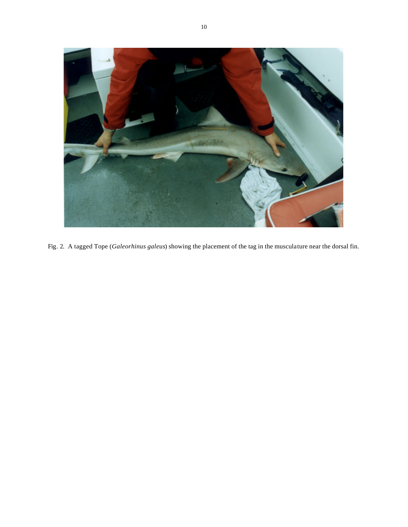

Fig. 2. A tagged Tope (*Galeorhinus galeus*) showing the placement of the tag in the musculature near the dorsal fin.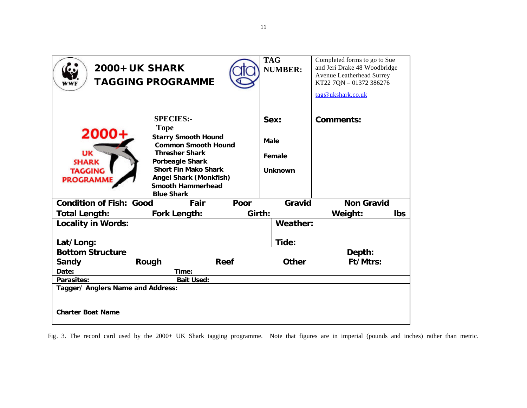| <b>2000+ UK SHARK</b>                                            | <b>TAGGING PROGRAMME</b>                                                                                                                                                                                                     |        | <b>TAG</b><br><b>NUMBER:</b>     | Completed forms to go to Sue<br>and Jeri Drake 48 Woodbridge<br>Avenue Leatherhead Surrey<br>KT22 7QN - 01372 386276<br>tag@ukshark.co.uk |
|------------------------------------------------------------------|------------------------------------------------------------------------------------------------------------------------------------------------------------------------------------------------------------------------------|--------|----------------------------------|-------------------------------------------------------------------------------------------------------------------------------------------|
|                                                                  | <b>SPECIES:-</b><br><b>Tope</b>                                                                                                                                                                                              |        | Sex:                             | Comments:                                                                                                                                 |
| 2000<br>UK<br><b>SHARK</b><br><b>TAGGING</b><br><b>PROGRAMME</b> | <b>Starry Smooth Hound</b><br><b>Common Smooth Hound</b><br><b>Thresher Shark</b><br><b>Porbeagle Shark</b><br><b>Short Fin Mako Shark</b><br><b>Angel Shark (Monkfish)</b><br><b>Smooth Hammerhead</b><br><b>Blue Shark</b> |        | Male<br>Female<br><b>Unknown</b> |                                                                                                                                           |
| <b>Condition of Fish: Good</b>                                   | Fair                                                                                                                                                                                                                         | Poor   | Gravid                           | <b>Non Gravid</b>                                                                                                                         |
| <b>Total Length:</b>                                             | Fork Length:                                                                                                                                                                                                                 | Girth: |                                  | Weight:<br><b>lbs</b>                                                                                                                     |
| <b>Locality in Words:</b>                                        |                                                                                                                                                                                                                              |        | Weather:                         |                                                                                                                                           |
| Lat/Long:                                                        |                                                                                                                                                                                                                              |        | Tide:                            |                                                                                                                                           |
| <b>Bottom Structure</b>                                          |                                                                                                                                                                                                                              |        | Depth:                           |                                                                                                                                           |
| Sandy                                                            | <b>Reef</b><br>Rough                                                                                                                                                                                                         |        | <b>Other</b>                     | Ft/Mtrs:                                                                                                                                  |
| Date:<br>Time:                                                   |                                                                                                                                                                                                                              |        |                                  |                                                                                                                                           |
| <b>Bait Used:</b><br>Parasites:                                  |                                                                                                                                                                                                                              |        |                                  |                                                                                                                                           |
| Tagger/ Anglers Name and Address:<br><b>Charter Boat Name</b>    |                                                                                                                                                                                                                              |        |                                  |                                                                                                                                           |

Fig. 3. The record card used by the 2000+ UK Shark tagging programme. Note that figures are in imperial (pounds and inches) rather than metric.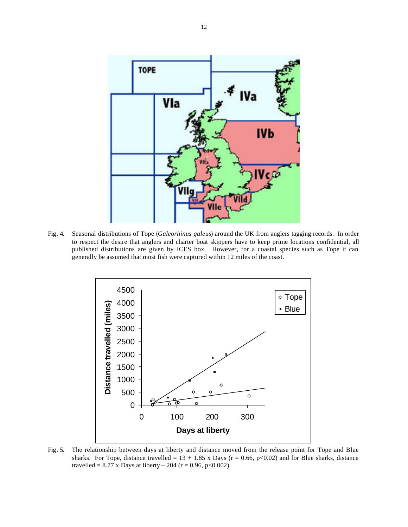

Fig. 4. Seasonal distributions of Tope (*Galeorhinus galeus*) around the UK from anglers tagging records. In order to respect the desire that anglers and charter boat skippers have to keep prime locations confidential, all published distributions are given by ICES box. However, for a coastal species such as Tope it can generally be assumed that most fish were captured within 12 miles of the coast.



Fig. 5. The relationship between days at liberty and distance moved from the release point for Tope and Blue sharks. For Tope, distance travelled =  $13 + 1.85$  x Days (r = 0.66, p<0.02) and for Blue sharks, distance travelled = 8.77 x Days at liberty – 204 ( $r = 0.96$ , p<0.002)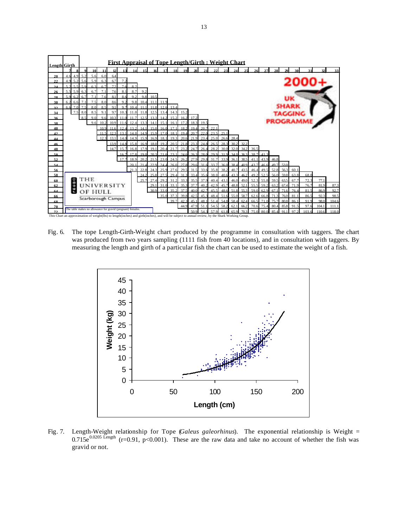

Fig. 6. The tope Length-Girth-Weight chart produced by the programme in consultation with taggers. The chart was produced from two years sampling (1111 fish from 40 locations), and in consultation with taggers. By measuring the length and girth of a particular fish the chart can be used to estimate the weight of a fish.



Fig. 7. Length-Weight relationship for Tope (*Galeus galeorhinus*). The exponential relationship is Weight = 0.715e<sup>0.0205 Length</sup> (r=0.91, p<0.001). These are the raw data and take no account of whether the fish was gravid or not.